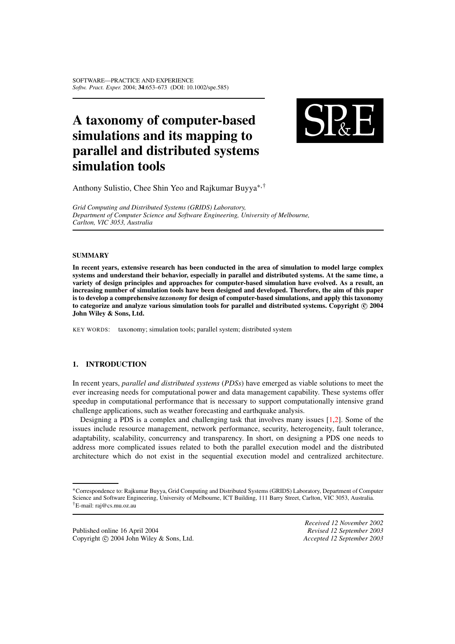# **A taxonomy of computer-based simulations and its mapping to parallel and distributed systems simulation tools**



Anthony Sulistio, Chee Shin Yeo and Rajkumar Buyya∗,†

*Grid Computing and Distributed Systems (GRIDS) Laboratory, Department of Computer Science and Software Engineering, University of Melbourne, Carlton, VIC 3053, Australia*

# **SUMMARY**

**In recent years, extensive research has been conducted in the area of simulation to model large complex systems and understand their behavior, especially in parallel and distributed systems. At the same time, a variety of design principles and approaches for computer-based simulation have evolved. As a result, an increasing number of simulation tools have been designed and developed. Therefore, the aim of this paper is to develop a comprehensive** *taxonomy* **for design of computer-based simulations, and apply this taxonomy** to categorize and analyze various simulation tools for parallel and distributed systems. Copyright © 2004 **John Wiley & Sons, Ltd.**

KEY WORDS: taxonomy; simulation tools; parallel system; distributed system

# **1. INTRODUCTION**

In recent years, *parallel and distributed systems* (*PDSs*) have emerged as viable solutions to meet the ever increasing needs for computational power and data management capability. These systems offer speedup in computational performance that is necessary to support computationally intensive grand challenge applications, such as weather forecasting and earthquake analysis.

Designing a PDS is a complex and challenging task that involves many issues [\[1](#page-19-0),[2\]](#page-19-1). Some of the issues include resource management, network performance, security, heterogeneity, fault tolerance, adaptability, scalability, concurrency and transparency. In short, on designing a PDS one needs to address more complicated issues related to both the parallel execution model and the distributed architecture which do not exist in the sequential execution model and centralized architecture.

Published online 16 April 2004 Copyright © 2004 John Wiley & Sons, Ltd.

*Received 12 November 2002 Revised 12 September 2003 Accepted 12 September 2003*

<sup>∗</sup>Correspondence to: Rajkumar Buyya, Grid Computing and Distributed Systems (GRIDS) Laboratory, Department of Computer Science and Software Engineering, University of Melbourne, ICT Building, 111 Barry Street, Carlton, VIC 3053, Australia. †E-mail: raj@cs.mu.oz.au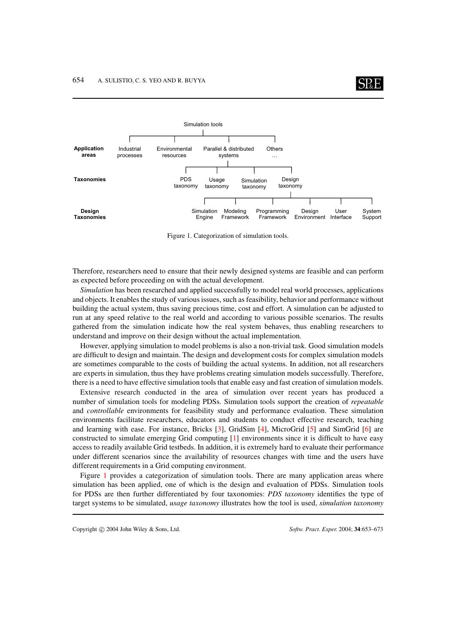<span id="page-1-0"></span>

Figure 1. Categorization of simulation tools.

Therefore, researchers need to ensure that their newly designed systems are feasible and can perform as expected before proceeding on with the actual development.

*Simulation* has been researched and applied successfully to model real world processes, applications and objects. It enables the study of various issues, such as feasibility, behavior and performance without building the actual system, thus saving precious time, cost and effort. A simulation can be adjusted to run at any speed relative to the real world and according to various possible scenarios. The results gathered from the simulation indicate how the real system behaves, thus enabling researchers to understand and improve on their design without the actual implementation.

However, applying simulation to model problems is also a non-trivial task. Good simulation models are difficult to design and maintain. The design and development costs for complex simulation models are sometimes comparable to the costs of building the actual systems. In addition, not all researchers are experts in simulation, thus they have problems creating simulation models successfully. Therefore, there is a need to have effective simulation tools that enable easy and fast creation of simulation models.

Extensive research conducted in the area of simulation over recent years has produced a number of simulation tools for modeling PDSs. Simulation tools support the creation of *repeatable* and *controllable* environments for feasibility study and performance evaluation. These simulation environments facilitate researchers, educators and students to conduct effective research, teaching and learning with ease. For instance, Bricks [\[3\]](#page-19-2), GridSim [\[4\]](#page-19-4), MicroGrid [\[5](#page-19-3)] and SimGrid [\[6](#page-19-5)] are constructed to simulate emerging Grid computing [\[1](#page-19-0)] environments since it is difficult to have easy access to readily available Grid testbeds. In addition, it is extremely hard to evaluate their performance under different scenarios since the availability of resources changes with time and the users have different requirements in a Grid computing environment.

Figure [1](#page-1-0) provides a categorization of simulation tools. There are many application areas where simulation has been applied, one of which is the design and evaluation of PDSs. Simulation tools for PDSs are then further differentiated by four taxonomies: *PDS taxonomy* identifies the type of target systems to be simulated, *usage taxonomy* illustrates how the tool is used, *simulation taxonomy*

Copyright  $\odot$  2004 John Wiley & Sons, Ltd.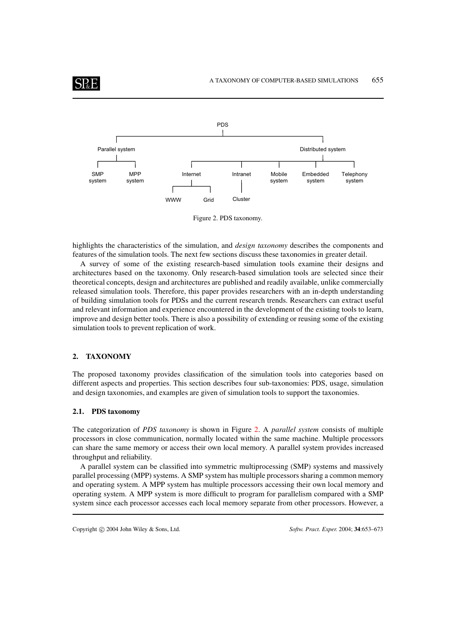<span id="page-2-0"></span>

Figure 2. PDS taxonomy.

highlights the characteristics of the simulation, and *design taxonomy* describes the components and features of the simulation tools. The next few sections discuss these taxonomies in greater detail.

A survey of some of the existing research-based simulation tools examine their designs and architectures based on the taxonomy. Only research-based simulation tools are selected since their theoretical concepts, design and architectures are published and readily available, unlike commercially released simulation tools. Therefore, this paper provides researchers with an in-depth understanding of building simulation tools for PDSs and the current research trends. Researchers can extract useful and relevant information and experience encountered in the development of the existing tools to learn, improve and design better tools. There is also a possibility of extending or reusing some of the existing simulation tools to prevent replication of work.

# **2. TAXONOMY**

The proposed taxonomy provides classification of the simulation tools into categories based on different aspects and properties. This section describes four sub-taxonomies: PDS, usage, simulation and design taxonomies, and examples are given of simulation tools to support the taxonomies.

#### **2.1. PDS taxonomy**

The categorization of *PDS taxonomy* is shown in Figure [2.](#page-2-0) A *parallel system* consists of multiple processors in close communication, normally located within the same machine. Multiple processors can share the same memory or access their own local memory. A parallel system provides increased throughput and reliability.

A parallel system can be classified into symmetric multiprocessing (SMP) systems and massively parallel processing (MPP) systems. A SMP system has multiple processors sharing a common memory and operating system. A MPP system has multiple processors accessing their own local memory and operating system. A MPP system is more difficult to program for parallelism compared with a SMP system since each processor accesses each local memory separate from other processors. However, a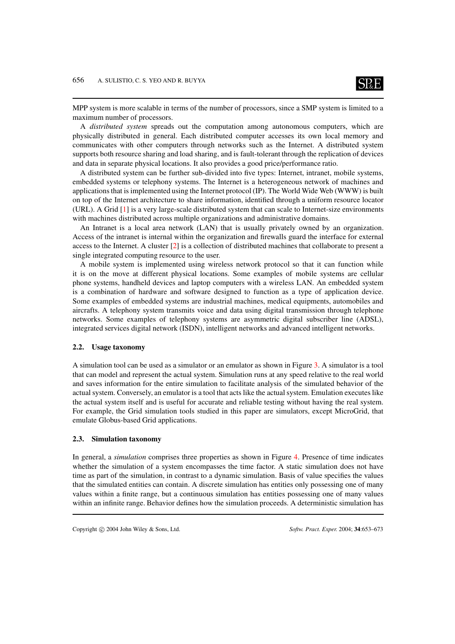MPP system is more scalable in terms of the number of processors, since a SMP system is limited to a maximum number of processors.

A *distributed system* spreads out the computation among autonomous computers, which are physically distributed in general. Each distributed computer accesses its own local memory and communicates with other computers through networks such as the Internet. A distributed system supports both resource sharing and load sharing, and is fault-tolerant through the replication of devices and data in separate physical locations. It also provides a good price/performance ratio.

A distributed system can be further sub-divided into five types: Internet, intranet, mobile systems, embedded systems or telephony systems. The Internet is a heterogeneous network of machines and applications that is implemented using the Internet protocol (IP). The World Wide Web (WWW) is built on top of the Internet architecture to share information, identified through a uniform resource locator (URL). A Grid [\[1\]](#page-19-0) is a very large-scale distributed system that can scale to Internet-size environments with machines distributed across multiple organizations and administrative domains.

An Intranet is a local area network (LAN) that is usually privately owned by an organization. Access of the intranet is internal within the organization and firewalls guard the interface for external access to the Internet. A cluster [\[2](#page-19-1)] is a collection of distributed machines that collaborate to present a single integrated computing resource to the user.

A mobile system is implemented using wireless network protocol so that it can function while it is on the move at different physical locations. Some examples of mobile systems are cellular phone systems, handheld devices and laptop computers with a wireless LAN. An embedded system is a combination of hardware and software designed to function as a type of application device. Some examples of embedded systems are industrial machines, medical equipments, automobiles and aircrafts. A telephony system transmits voice and data using digital transmission through telephone networks. Some examples of telephony systems are asymmetric digital subscriber line (ADSL), integrated services digital network (ISDN), intelligent networks and advanced intelligent networks.

#### **2.2. Usage taxonomy**

A simulation tool can be used as a simulator or an emulator as shown in Figure [3.](#page-4-1) A simulator is a tool that can model and represent the actual system. Simulation runs at any speed relative to the real world and saves information for the entire simulation to facilitate analysis of the simulated behavior of the actual system. Conversely, an emulator is a tool that acts like the actual system. Emulation executes like the actual system itself and is useful for accurate and reliable testing without having the real system. For example, the Grid simulation tools studied in this paper are simulators, except MicroGrid, that emulate Globus-based Grid applications.

# **2.3. Simulation taxonomy**

In general, a *simulation* comprises three properties as shown in Figure [4.](#page-4-0) Presence of time indicates whether the simulation of a system encompasses the time factor. A static simulation does not have time as part of the simulation, in contrast to a dynamic simulation. Basis of value specifies the values that the simulated entities can contain. A discrete simulation has entities only possessing one of many values within a finite range, but a continuous simulation has entities possessing one of many values within an infinite range. Behavior defines how the simulation proceeds. A deterministic simulation has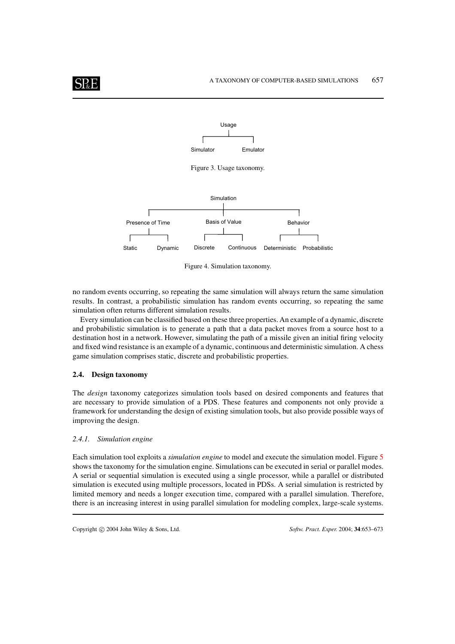<span id="page-4-1"></span>



Figure 3. Usage taxonomy.

<span id="page-4-0"></span>

Figure 4. Simulation taxonomy.

no random events occurring, so repeating the same simulation will always return the same simulation results. In contrast, a probabilistic simulation has random events occurring, so repeating the same simulation often returns different simulation results.

Every simulation can be classified based on these three properties. An example of a dynamic, discrete and probabilistic simulation is to generate a path that a data packet moves from a source host to a destination host in a network. However, simulating the path of a missile given an initial firing velocity and fixed wind resistance is an example of a dynamic, continuous and deterministic simulation. A chess game simulation comprises static, discrete and probabilistic properties.

# **2.4. Design taxonomy**

The *design* taxonomy categorizes simulation tools based on desired components and features that are necessary to provide simulation of a PDS. These features and components not only provide a framework for understanding the design of existing simulation tools, but also provide possible ways of improving the design.

# *2.4.1. Simulation engine*

Each simulation tool exploits a *simulation engine* to model and execute the simulation model. Figure [5](#page-5-0) shows the taxonomy for the simulation engine. Simulations can be executed in serial or parallel modes. A serial or sequential simulation is executed using a single processor, while a parallel or distributed simulation is executed using multiple processors, located in PDSs. A serial simulation is restricted by limited memory and needs a longer execution time, compared with a parallel simulation. Therefore, there is an increasing interest in using parallel simulation for modeling complex, large-scale systems.

Copyright  $\odot$  2004 John Wiley & Sons, Ltd.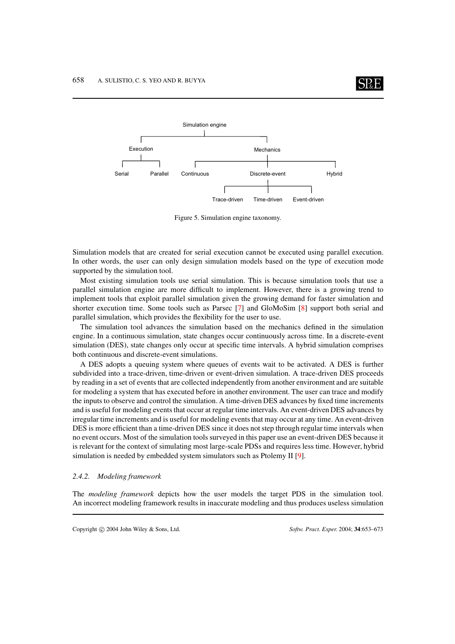

<span id="page-5-0"></span>

Figure 5. Simulation engine taxonomy.

Simulation models that are created for serial execution cannot be executed using parallel execution. In other words, the user can only design simulation models based on the type of execution mode supported by the simulation tool.

Most existing simulation tools use serial simulation. This is because simulation tools that use a parallel simulation engine are more difficult to implement. However, there is a growing trend to implement tools that exploit parallel simulation given the growing demand for faster simulation and shorter execution time. Some tools such as Parsec [[7\]](#page-19-7) and GloMoSim [[8\]](#page-19-8) support both serial and parallel simulation, which provides the flexibility for the user to use.

The simulation tool advances the simulation based on the mechanics defined in the simulation engine. In a continuous simulation, state changes occur continuously across time. In a discrete-event simulation (DES), state changes only occur at specific time intervals. A hybrid simulation comprises both continuous and discrete-event simulations.

A DES adopts a queuing system where queues of events wait to be activated. A DES is further subdivided into a trace-driven, time-driven or event-driven simulation. A trace-driven DES proceeds by reading in a set of events that are collected independently from another environment and are suitable for modeling a system that has executed before in another environment. The user can trace and modify the inputs to observe and control the simulation. A time-driven DES advances by fixed time increments and is useful for modeling events that occur at regular time intervals. An event-driven DES advances by irregular time increments and is useful for modeling events that may occur at any time. An event-driven DES is more efficient than a time-driven DES since it does not step through regular time intervals when no event occurs. Most of the simulation tools surveyed in this paper use an event-driven DES because it is relevant for the context of simulating most large-scale PDSs and requires less time. However, hybrid simulation is needed by embedded system simulators such as Ptolemy II [\[9](#page-19-6)].

#### *2.4.2. Modeling framework*

The *modeling framework* depicts how the user models the target PDS in the simulation tool. An incorrect modeling framework results in inaccurate modeling and thus produces useless simulation

Copyright  $\odot$  2004 John Wiley & Sons, Ltd.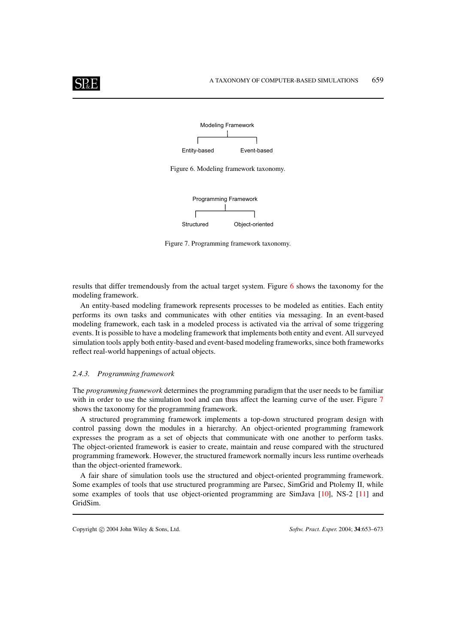<span id="page-6-1"></span>



<span id="page-6-0"></span>Figure 6. Modeling framework taxonomy.



Figure 7. Programming framework taxonomy.

results that differ tremendously from the actual target system. Figure [6](#page-6-1) shows the taxonomy for the modeling framework.

An entity-based modeling framework represents processes to be modeled as entities. Each entity performs its own tasks and communicates with other entities via messaging. In an event-based modeling framework, each task in a modeled process is activated via the arrival of some triggering events. It is possible to have a modeling framework that implements both entity and event. All surveyed simulation tools apply both entity-based and event-based modeling frameworks, since both frameworks reflect real-world happenings of actual objects.

#### *2.4.3. Programming framework*

The *programming framework* determines the programming paradigm that the user needs to be familiar with in order to use the simulation tool and can thus affect the learning curve of the user. Figure [7](#page-6-0) shows the taxonomy for the programming framework.

A structured programming framework implements a top-down structured program design with control passing down the modules in a hierarchy. An object-oriented programming framework expresses the program as a set of objects that communicate with one another to perform tasks. The object-oriented framework is easier to create, maintain and reuse compared with the structured programming framework. However, the structured framework normally incurs less runtime overheads than the object-oriented framework.

A fair share of simulation tools use the structured and object-oriented programming framework. Some examples of tools that use structured programming are Parsec, SimGrid and Ptolemy II, while some examples of tools that use object-oriented programming are SimJava [[10\]](#page-19-9), NS-2 [\[11](#page-19-10)] and GridSim.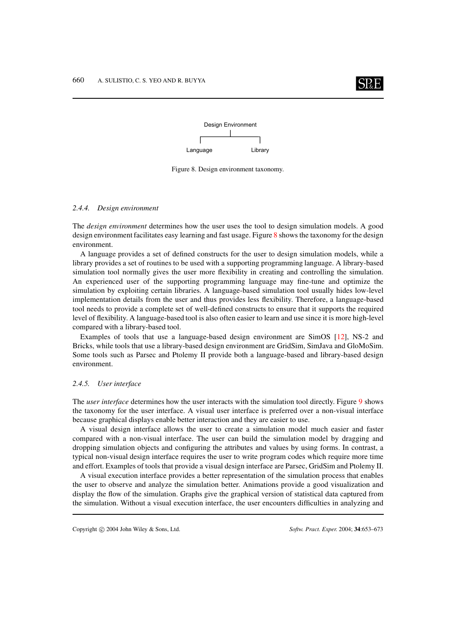

<span id="page-7-0"></span>

Figure 8. Design environment taxonomy.

# *2.4.4. Design environment*

The *design environment* determines how the user uses the tool to design simulation models. A good design environment facilitates easy learning and fast usage. Figure [8](#page-7-0) shows the taxonomy for the design environment.

A language provides a set of defined constructs for the user to design simulation models, while a library provides a set of routines to be used with a supporting programming language. A library-based simulation tool normally gives the user more flexibility in creating and controlling the simulation. An experienced user of the supporting programming language may fine-tune and optimize the simulation by exploiting certain libraries. A language-based simulation tool usually hides low-level implementation details from the user and thus provides less flexibility. Therefore, a language-based tool needs to provide a complete set of well-defined constructs to ensure that it supports the required level of flexibility. A language-based tool is also often easier to learn and use since it is more high-level compared with a library-based tool.

Examples of tools that use a language-based design environment are SimOS [\[12](#page-19-11)], NS-2 and Bricks, while tools that use a library-based design environment are GridSim, SimJava and GloMoSim. Some tools such as Parsec and Ptolemy II provide both a language-based and library-based design environment.

#### *2.4.5. User interface*

The *user interface* determines how the user interacts with the simulation tool directly. Figure [9](#page-8-0) shows the taxonomy for the user interface. A visual user interface is preferred over a non-visual interface because graphical displays enable better interaction and they are easier to use.

A visual design interface allows the user to create a simulation model much easier and faster compared with a non-visual interface. The user can build the simulation model by dragging and dropping simulation objects and configuring the attributes and values by using forms. In contrast, a typical non-visual design interface requires the user to write program codes which require more time and effort. Examples of tools that provide a visual design interface are Parsec, GridSim and Ptolemy II.

A visual execution interface provides a better representation of the simulation process that enables the user to observe and analyze the simulation better. Animations provide a good visualization and display the flow of the simulation. Graphs give the graphical version of statistical data captured from the simulation. Without a visual execution interface, the user encounters difficulties in analyzing and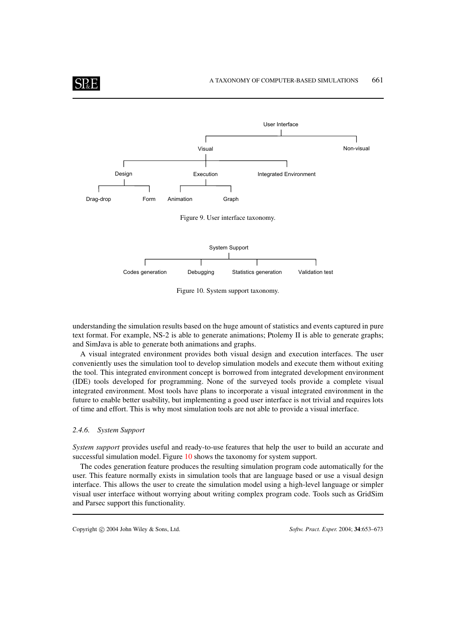<span id="page-8-0"></span>

<span id="page-8-1"></span>Figure 10. System support taxonomy.

understanding the simulation results based on the huge amount of statistics and events captured in pure text format. For example, NS-2 is able to generate animations; Ptolemy II is able to generate graphs; and SimJava is able to generate both animations and graphs.

A visual integrated environment provides both visual design and execution interfaces. The user conveniently uses the simulation tool to develop simulation models and execute them without exiting the tool. This integrated environment concept is borrowed from integrated development environment (IDE) tools developed for programming. None of the surveyed tools provide a complete visual integrated environment. Most tools have plans to incorporate a visual integrated environment in the future to enable better usability, but implementing a good user interface is not trivial and requires lots of time and effort. This is why most simulation tools are not able to provide a visual interface.

# *2.4.6. System Support*

*System support* provides useful and ready-to-use features that help the user to build an accurate and successful simulation model. Figure [10](#page-8-1) shows the taxonomy for system support.

The codes generation feature produces the resulting simulation program code automatically for the user. This feature normally exists in simulation tools that are language based or use a visual design interface. This allows the user to create the simulation model using a high-level language or simpler visual user interface without worrying about writing complex program code. Tools such as GridSim and Parsec support this functionality.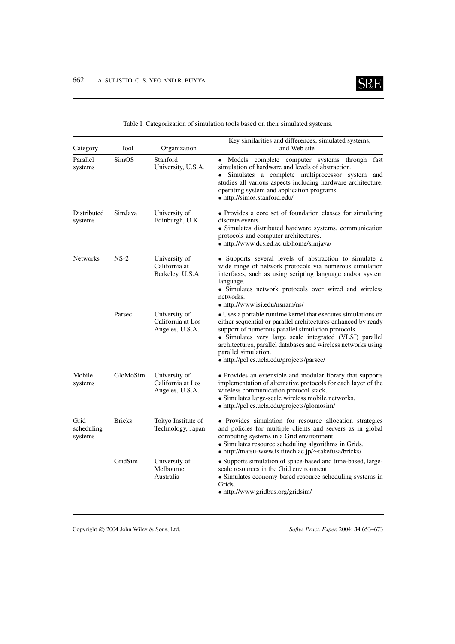

| Category                      | Tool          | Organization                                          | Key similarities and differences, simulated systems,<br>and Web site                                                                                                                                                                                                                                                                                                                  |  |
|-------------------------------|---------------|-------------------------------------------------------|---------------------------------------------------------------------------------------------------------------------------------------------------------------------------------------------------------------------------------------------------------------------------------------------------------------------------------------------------------------------------------------|--|
| Parallel<br>systems           | SimOS         | Stanford<br>University, U.S.A.                        | • Models complete computer systems through fast<br>simulation of hardware and levels of abstraction.<br>Simulates a complete multiprocessor system and<br>studies all various aspects including hardware architecture,<br>operating system and application programs.<br>• http://simos.stanford.edu/                                                                                  |  |
| Distributed<br>systems        | SimJava       | University of<br>Edinburgh, U.K.                      | • Provides a core set of foundation classes for simulating<br>discrete events.<br>• Simulates distributed hardware systems, communication<br>protocols and computer architectures.<br>• http://www.dcs.ed.ac.uk/home/simjava/                                                                                                                                                         |  |
| <b>Networks</b>               | $NS-2$        | University of<br>California at<br>Berkeley, U.S.A.    | • Supports several levels of abstraction to simulate a<br>wide range of network protocols via numerous simulation<br>interfaces, such as using scripting language and/or system<br>language.<br>• Simulates network protocols over wired and wireless<br>networks.<br>• http://www.isi.edu/nsnam/ns/                                                                                  |  |
|                               | Parsec        | University of<br>California at Los<br>Angeles, U.S.A. | • Uses a portable runtime kernel that executes simulations on<br>either sequential or parallel architectures enhanced by ready<br>support of numerous parallel simulation protocols.<br>· Simulates very large scale integrated (VLSI) parallel<br>architectures, parallel databases and wireless networks using<br>parallel simulation.<br>• http://pcl.cs.ucla.edu/projects/parsec/ |  |
| Mobile<br>systems             | GloMoSim      | University of<br>California at Los<br>Angeles, U.S.A. | • Provides an extensible and modular library that supports<br>implementation of alternative protocols for each layer of the<br>wireless communication protocol stack.<br>• Simulates large-scale wireless mobile networks.<br>• http://pcl.cs.ucla.edu/projects/glomosim/                                                                                                             |  |
| Grid<br>scheduling<br>systems | <b>Bricks</b> | Tokyo Institute of<br>Technology, Japan               | • Provides simulation for resource allocation strategies<br>and policies for multiple clients and servers as in global<br>computing systems in a Grid environment.<br>• Simulates resource scheduling algorithms in Grids.<br>$\bullet$ http://matsu-www.is.titech.ac.jp/ $\sim$ takefusa/bricks/                                                                                     |  |
|                               | GridSim       | University of<br>Melbourne,<br>Australia              | · Supports simulation of space-based and time-based, large-<br>scale resources in the Grid environment.<br>• Simulates economy-based resource scheduling systems in<br>Grids.<br>• http://www.gridbus.org/gridsim/                                                                                                                                                                    |  |

<span id="page-9-0"></span>Table I. Categorization of simulation tools based on their simulated systems.

Copyright  $\odot$  2004 John Wiley & Sons, Ltd.

c 2004 John Wiley & Sons, Ltd. *Softw. Pract. Exper.* 2004; **34**:653–673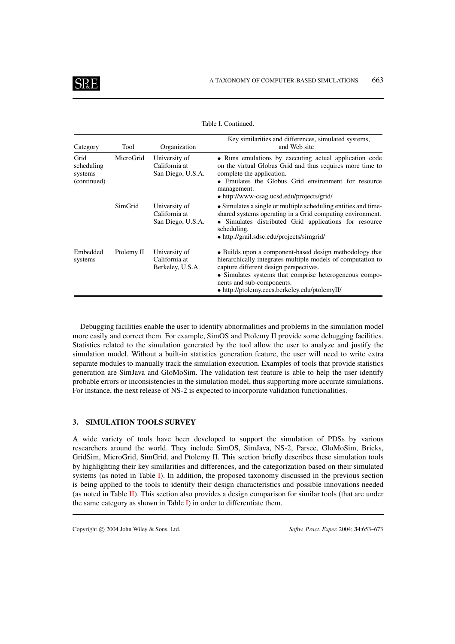| Category                                     | Tool       | Organization                                        | Key similarities and differences, simulated systems,<br>and Web site                                                                                                                                                                                                                                     |
|----------------------------------------------|------------|-----------------------------------------------------|----------------------------------------------------------------------------------------------------------------------------------------------------------------------------------------------------------------------------------------------------------------------------------------------------------|
| Grid<br>scheduling<br>systems<br>(continued) | MicroGrid  | University of<br>California at<br>San Diego, U.S.A. | • Runs emulations by executing actual application code<br>on the virtual Globus Grid and thus requires more time to<br>complete the application.<br>• Emulates the Globus Grid environment for resource<br>management.<br>• http://www-csag.ucsd.edu/projects/grid/                                      |
|                                              | SimGrid    | University of<br>California at<br>San Diego, U.S.A. | • Simulates a single or multiple scheduling entities and time-<br>shared systems operating in a Grid computing environment.<br>• Simulates distributed Grid applications for resource<br>scheduling.<br>• http://grail.sdsc.edu/projects/simgrid/                                                        |
| Embedded<br>systems                          | Ptolemy II | University of<br>California at<br>Berkeley, U.S.A.  | • Builds upon a component-based design methodology that<br>hierarchically integrates multiple models of computation to<br>capture different design perspectives.<br>• Simulates systems that comprise heterogeneous compo-<br>nents and sub-components.<br>• http://ptolemy.eecs.berkeley.edu/ptolemyII/ |

Table I. Continued.

Debugging facilities enable the user to identify abnormalities and problems in the simulation model more easily and correct them. For example, SimOS and Ptolemy II provide some debugging facilities. Statistics related to the simulation generated by the tool allow the user to analyze and justify the simulation model. Without a built-in statistics generation feature, the user will need to write extra separate modules to manually track the simulation execution. Examples of tools that provide statistics generation are SimJava and GloMoSim. The validation test feature is able to help the user identify probable errors or inconsistencies in the simulation model, thus supporting more accurate simulations. For instance, the next release of NS-2 is expected to incorporate validation functionalities.

# **3. SIMULATION TOOLS SURVEY**

A wide variety of tools have been developed to support the simulation of PDSs by various researchers around the world. They include SimOS, SimJava, NS-2, Parsec, GloMoSim, Bricks, GridSim, MicroGrid, SimGrid, and Ptolemy II. This section briefly describes these simulation tools by highlighting their key similarities and differences, and the categorization based on their simulated systems (as noted in Table [I\)](#page-9-0). In addition, the proposed taxonomy discussed in the previous section is being applied to the tools to identify their design characteristics and possible innovations needed (as noted in Table [II\)](#page-11-0). This section also provides a design comparison for similar tools (that are under the same category as shown in Table [I](#page-9-0)) in order to differentiate them.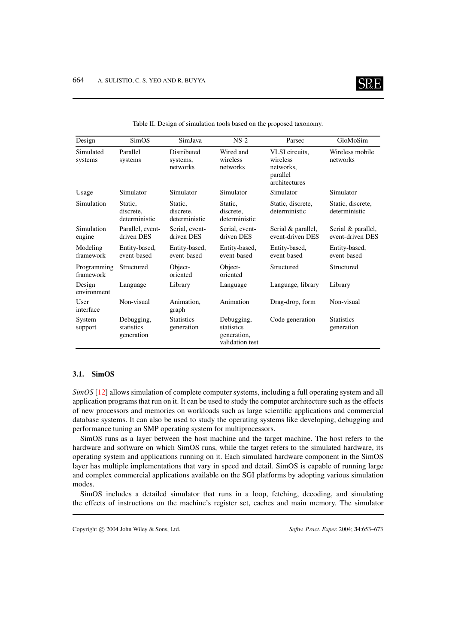

| Design                   | SimOS                                  | SimJava                               | $NS-2$                                                     | Parsec                                                               | GloMoSim                               |
|--------------------------|----------------------------------------|---------------------------------------|------------------------------------------------------------|----------------------------------------------------------------------|----------------------------------------|
| Simulated<br>systems     | Parallel<br>systems                    | Distributed<br>systems,<br>networks   | Wired and<br>wireless<br>networks                          | VLSI circuits.<br>wireless<br>networks.<br>parallel<br>architectures | Wireless mobile<br>networks            |
| Usage                    | Simulator                              | Simulator                             | Simulator                                                  | Simulator                                                            | Simulator                              |
| Simulation               | Static,<br>discrete.<br>deterministic  | Static,<br>discrete.<br>deterministic | Static,<br>discrete.<br>deterministic                      | Static, discrete,<br>deterministic                                   | Static, discrete,<br>deterministic     |
| Simulation<br>engine     | Parallel, event-<br>driven DES         | Serial, event-<br>driven DES          | Serial, event-<br>driven DES                               | Serial & parallel,<br>event-driven DES                               | Serial & parallel,<br>event-driven DES |
| Modeling<br>framework    | Entity-based,<br>event-based           | Entity-based,<br>event-based          | Entity-based,<br>event-based                               | Entity-based,<br>event-based                                         | Entity-based,<br>event-based           |
| Programming<br>framework | Structured                             | Object-<br>oriented                   | Object-<br>oriented                                        | Structured                                                           | Structured                             |
| Design<br>environment    | Language                               | Library                               | Language                                                   | Language, library                                                    | Library                                |
| User<br>interface        | Non-visual                             | Animation.<br>graph                   | Animation                                                  | Drag-drop, form                                                      | Non-visual                             |
| System<br>support        | Debugging,<br>statistics<br>generation | <b>Statistics</b><br>generation       | Debugging,<br>statistics<br>generation,<br>validation test | Code generation                                                      | <b>Statistics</b><br>generation        |

<span id="page-11-0"></span>Table II. Design of simulation tools based on the proposed taxonomy.

# **3.1. SimOS**

*SimOS* [[12\]](#page-19-11) allows simulation of complete computer systems, including a full operating system and all application programs that run on it. It can be used to study the computer architecture such as the effects of new processors and memories on workloads such as large scientific applications and commercial database systems. It can also be used to study the operating systems like developing, debugging and performance tuning an SMP operating system for multiprocessors.

SimOS runs as a layer between the host machine and the target machine. The host refers to the hardware and software on which SimOS runs, while the target refers to the simulated hardware, its operating system and applications running on it. Each simulated hardware component in the SimOS layer has multiple implementations that vary in speed and detail. SimOS is capable of running large and complex commercial applications available on the SGI platforms by adopting various simulation modes.

SimOS includes a detailed simulator that runs in a loop, fetching, decoding, and simulating the effects of instructions on the machine's register set, caches and main memory. The simulator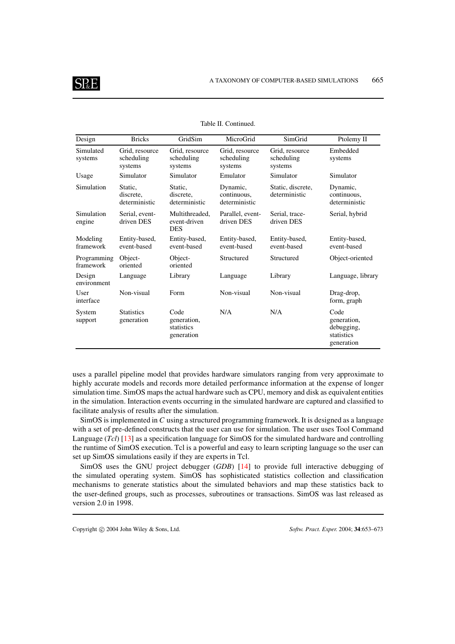| Design                   | <b>Bricks</b>                           | GridSim                                         | MicroGrid                                | SimGrid                                 | Ptolemy II                                                    |
|--------------------------|-----------------------------------------|-------------------------------------------------|------------------------------------------|-----------------------------------------|---------------------------------------------------------------|
| Simulated<br>systems     | Grid, resource<br>scheduling<br>systems | Grid, resource<br>scheduling<br>systems         | Grid, resource<br>scheduling<br>systems  | Grid, resource<br>scheduling<br>systems | Embedded<br>systems                                           |
| Usage                    | Simulator                               | Simulator                                       | Emulator                                 | Simulator                               | Simulator                                                     |
| Simulation               | Static,<br>discrete.<br>deterministic   | Static,<br>discrete,<br>deterministic           | Dynamic,<br>continuous,<br>deterministic | Static, discrete,<br>deterministic      | Dynamic,<br>continuous,<br>deterministic                      |
| Simulation<br>engine     | Serial, event-<br>driven DES            | Multithreaded,<br>event-driven<br><b>DES</b>    | Parallel, event-<br>driven DES           | Serial, trace-<br>driven DES            | Serial, hybrid                                                |
| Modeling<br>framework    | Entity-based,<br>event-based            | Entity-based,<br>event-based                    | Entity-based,<br>event-based             | Entity-based,<br>event-based            | Entity-based,<br>event-based                                  |
| Programming<br>framework | Object-<br>oriented                     | Object-<br>oriented                             | Structured                               | Structured                              | Object-oriented                                               |
| Design<br>environment    | Language                                | Library                                         | Language                                 | Library                                 | Language, library                                             |
| User<br>interface        | Non-visual                              | Form                                            | Non-visual                               | Non-visual                              | Drag-drop,<br>form, graph                                     |
| System<br>support        | <b>Statistics</b><br>generation         | Code<br>generation,<br>statistics<br>generation | N/A                                      | N/A                                     | Code<br>generation,<br>debugging,<br>statistics<br>generation |

Table II. Continued.

uses a parallel pipeline model that provides hardware simulators ranging from very approximate to highly accurate models and records more detailed performance information at the expense of longer simulation time. SimOS maps the actual hardware such as CPU, memory and disk as equivalent entities in the simulation. Interaction events occurring in the simulated hardware are captured and classified to facilitate analysis of results after the simulation.

SimOS is implemented in *C* using a structured programming framework. It is designed as a language with a set of pre-defined constructs that the user can use for simulation. The user uses Tool Command Language (*Tcl*) [[13\]](#page-19-12) as a specification language for SimOS for the simulated hardware and controlling the runtime of SimOS execution. Tcl is a powerful and easy to learn scripting language so the user can set up SimOS simulations easily if they are experts in Tcl.

SimOS uses the GNU project debugger (*GDB*) [\[14\]](#page-19-13) to provide full interactive debugging of the simulated operating system. SimOS has sophisticated statistics collection and classification mechanisms to generate statistics about the simulated behaviors and map these statistics back to the user-defined groups, such as processes, subroutines or transactions. SimOS was last released as version 2.0 in 1998.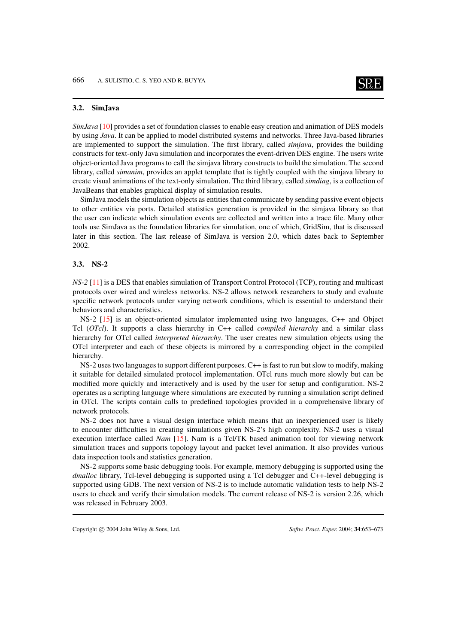

# **3.2. SimJava**

*SimJava* [[10\]](#page-19-9) provides a set of foundation classes to enable easy creation and animation of DES models by using *Java*. It can be applied to model distributed systems and networks. Three Java-based libraries are implemented to support the simulation. The first library, called *simjava*, provides the building constructs for text-only Java simulation and incorporates the event-driven DES engine. The users write object-oriented Java programs to call the simjava library constructs to build the simulation. The second library, called *simanim*, provides an applet template that is tightly coupled with the simjava library to create visual animations of the text-only simulation. The third library, called *simdiag*, is a collection of JavaBeans that enables graphical display of simulation results.

SimJava models the simulation objects as entities that communicate by sending passive event objects to other entities via ports. Detailed statistics generation is provided in the simjava library so that the user can indicate which simulation events are collected and written into a trace file. Many other tools use SimJava as the foundation libraries for simulation, one of which, GridSim, that is discussed later in this section. The last release of SimJava is version 2.0, which dates back to September 2002.

# **3.3. NS-2**

*NS-2* [\[11\]](#page-19-10) is a DES that enables simulation of Transport Control Protocol (TCP), routing and multicast protocols over wired and wireless networks. NS-2 allows network researchers to study and evaluate specific network protocols under varying network conditions, which is essential to understand their behaviors and characteristics.

NS-2 [[15\]](#page-19-14) is an object-oriented simulator implemented using two languages, *C*++ and Object Tcl (*OTcl*). It supports a class hierarchy in C++ called *compiled hierarchy* and a similar class hierarchy for OTcl called *interpreted hierarchy*. The user creates new simulation objects using the OTcl interpreter and each of these objects is mirrored by a corresponding object in the compiled hierarchy.

NS-2 uses two languages to support different purposes. C++ is fast to run but slow to modify, making it suitable for detailed simulated protocol implementation. OTcl runs much more slowly but can be modified more quickly and interactively and is used by the user for setup and configuration. NS-2 operates as a scripting language where simulations are executed by running a simulation script defined in OTcl. The scripts contain calls to predefined topologies provided in a comprehensive library of network protocols.

NS-2 does not have a visual design interface which means that an inexperienced user is likely to encounter difficulties in creating simulations given NS-2's high complexity. NS-2 uses a visual execution interface called *Nam* [\[15\]](#page-19-14). Nam is a Tcl/TK based animation tool for viewing network simulation traces and supports topology layout and packet level animation. It also provides various data inspection tools and statistics generation.

NS-2 supports some basic debugging tools. For example, memory debugging is supported using the *dmalloc* library, Tcl-level debugging is supported using a Tcl debugger and C++-level debugging is supported using GDB. The next version of NS-2 is to include automatic validation tests to help NS-2 users to check and verify their simulation models. The current release of NS-2 is version 2.26, which was released in February 2003.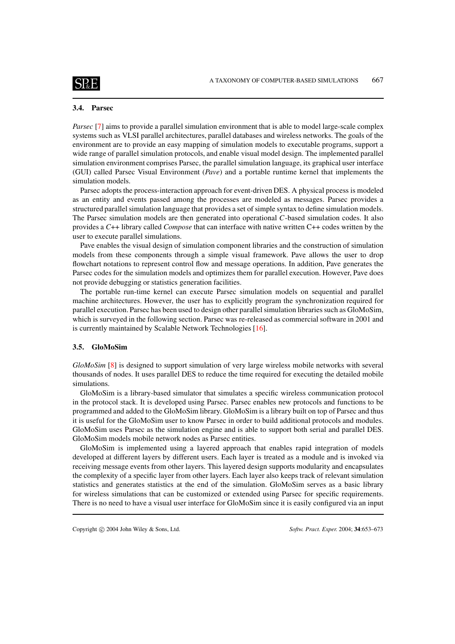

# **3.4. Parsec**

*Parsec* [\[7\]](#page-19-7) aims to provide a parallel simulation environment that is able to model large-scale complex systems such as VLSI parallel architectures, parallel databases and wireless networks. The goals of the environment are to provide an easy mapping of simulation models to executable programs, support a wide range of parallel simulation protocols, and enable visual model design. The implemented parallel simulation environment comprises Parsec, the parallel simulation language, its graphical user interface (GUI) called Parsec Visual Environment (*Pave*) and a portable runtime kernel that implements the simulation models.

Parsec adopts the process-interaction approach for event-driven DES. A physical process is modeled as an entity and events passed among the processes are modeled as messages. Parsec provides a structured parallel simulation language that provides a set of simple syntax to define simulation models. The Parsec simulation models are then generated into operational *C*-based simulation codes. It also provides a *C*++ library called *Compose* that can interface with native written C++ codes written by the user to execute parallel simulations.

Pave enables the visual design of simulation component libraries and the construction of simulation models from these components through a simple visual framework. Pave allows the user to drop flowchart notations to represent control flow and message operations. In addition, Pave generates the Parsec codes for the simulation models and optimizes them for parallel execution. However, Pave does not provide debugging or statistics generation facilities.

The portable run-time kernel can execute Parsec simulation models on sequential and parallel machine architectures. However, the user has to explicitly program the synchronization required for parallel execution. Parsec has been used to design other parallel simulation libraries such as GloMoSim, which is surveyed in the following section. Parsec was re-released as commercial software in 2001 and is currently maintained by Scalable Network Technologies [\[16\]](#page-19-15).

## **3.5. GloMoSim**

*GloMoSim* [\[8\]](#page-19-8) is designed to support simulation of very large wireless mobile networks with several thousands of nodes. It uses parallel DES to reduce the time required for executing the detailed mobile simulations.

GloMoSim is a library-based simulator that simulates a specific wireless communication protocol in the protocol stack. It is developed using Parsec. Parsec enables new protocols and functions to be programmed and added to the GloMoSim library. GloMoSim is a library built on top of Parsec and thus it is useful for the GloMoSim user to know Parsec in order to build additional protocols and modules. GloMoSim uses Parsec as the simulation engine and is able to support both serial and parallel DES. GloMoSim models mobile network nodes as Parsec entities.

GloMoSim is implemented using a layered approach that enables rapid integration of models developed at different layers by different users. Each layer is treated as a module and is invoked via receiving message events from other layers. This layered design supports modularity and encapsulates the complexity of a specific layer from other layers. Each layer also keeps track of relevant simulation statistics and generates statistics at the end of the simulation. GloMoSim serves as a basic library for wireless simulations that can be customized or extended using Parsec for specific requirements. There is no need to have a visual user interface for GloMoSim since it is easily configured via an input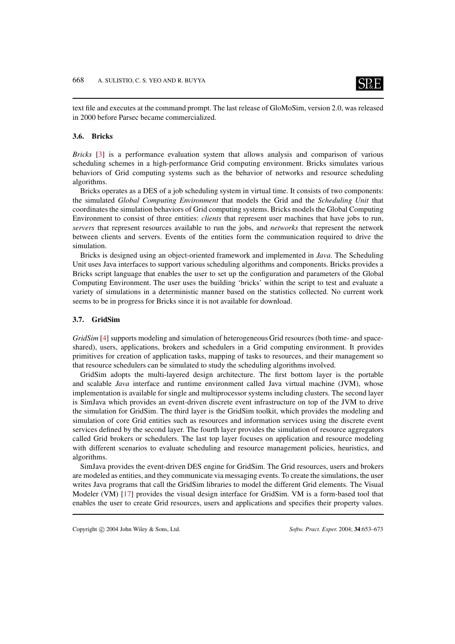

text file and executes at the command prompt. The last release of GloMoSim, version 2.0, was released in 2000 before Parsec became commercialized.

#### **3.6. Bricks**

*Bricks* [[3\]](#page-19-2) is a performance evaluation system that allows analysis and comparison of various scheduling schemes in a high-performance Grid computing environment. Bricks simulates various behaviors of Grid computing systems such as the behavior of networks and resource scheduling algorithms.

Bricks operates as a DES of a job scheduling system in virtual time. It consists of two components: the simulated *Global Computing Environment* that models the Grid and the *Scheduling Unit* that coordinates the simulation behaviors of Grid computing systems. Bricks models the Global Computing Environment to consist of three entities: *clients* that represent user machines that have jobs to run, *servers* that represent resources available to run the jobs, and *networks* that represent the network between clients and servers. Events of the entities form the communication required to drive the simulation.

Bricks is designed using an object-oriented framework and implemented in *Java*. The Scheduling Unit uses Java interfaces to support various scheduling algorithms and components. Bricks provides a Bricks script language that enables the user to set up the configuration and parameters of the Global Computing Environment. The user uses the building 'bricks' within the script to test and evaluate a variety of simulations in a deterministic manner based on the statistics collected. No current work seems to be in progress for Bricks since it is not available for download.

# **3.7. GridSim**

*GridSim* [\[4](#page-19-4)] supports modeling and simulation of heterogeneous Grid resources (both time- and spaceshared), users, applications, brokers and schedulers in a Grid computing environment. It provides primitives for creation of application tasks, mapping of tasks to resources, and their management so that resource schedulers can be simulated to study the scheduling algorithms involved.

GridSim adopts the multi-layered design architecture. The first bottom layer is the portable and scalable *Java* interface and runtime environment called Java virtual machine (JVM), whose implementation is available for single and multiprocessor systems including clusters. The second layer is SimJava which provides an event-driven discrete event infrastructure on top of the JVM to drive the simulation for GridSim. The third layer is the GridSim toolkit, which provides the modeling and simulation of core Grid entities such as resources and information services using the discrete event services defined by the second layer. The fourth layer provides the simulation of resource aggregators called Grid brokers or schedulers. The last top layer focuses on application and resource modeling with different scenarios to evaluate scheduling and resource management policies, heuristics, and algorithms.

SimJava provides the event-driven DES engine for GridSim. The Grid resources, users and brokers are modeled as entities, and they communicate via messaging events. To create the simulations, the user writes Java programs that call the GridSim libraries to model the different Grid elements. The Visual Modeler (VM) [\[17\]](#page-19-16) provides the visual design interface for GridSim. VM is a form-based tool that enables the user to create Grid resources, users and applications and specifies their property values.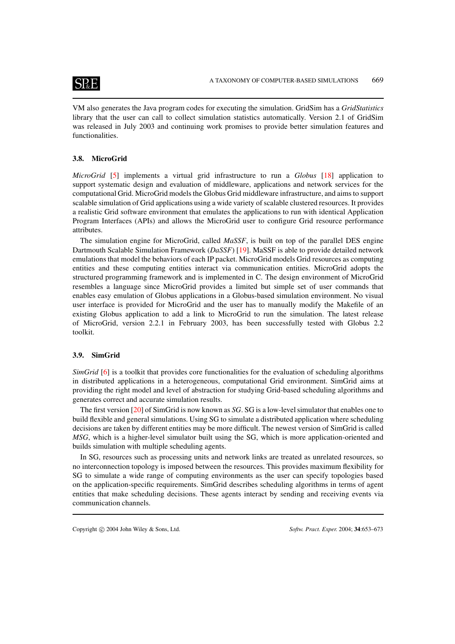VM also generates the Java program codes for executing the simulation. GridSim has a *GridStatistics* library that the user can call to collect simulation statistics automatically. Version 2.1 of GridSim was released in July 2003 and continuing work promises to provide better simulation features and functionalities.

# **3.8. MicroGrid**

*MicroGrid* [\[5\]](#page-19-3) implements a virtual grid infrastructure to run a *Globus* [\[18](#page-20-0)] application to support systematic design and evaluation of middleware, applications and network services for the computational Grid. MicroGrid models the Globus Grid middleware infrastructure, and aims to support scalable simulation of Grid applications using a wide variety of scalable clustered resources. It provides a realistic Grid software environment that emulates the applications to run with identical Application Program Interfaces (APIs) and allows the MicroGrid user to configure Grid resource performance attributes.

The simulation engine for MicroGrid, called *MaSSF*, is built on top of the parallel DES engine Dartmouth Scalable Simulation Framework (*DaSSF*) [\[19\]](#page-20-2). MaSSF is able to provide detailed network emulations that model the behaviors of each IP packet. MicroGrid models Grid resources as computing entities and these computing entities interact via communication entities. MicroGrid adopts the structured programming framework and is implemented in C. The design environment of MicroGrid resembles a language since MicroGrid provides a limited but simple set of user commands that enables easy emulation of Globus applications in a Globus-based simulation environment. No visual user interface is provided for MicroGrid and the user has to manually modify the Makefile of an existing Globus application to add a link to MicroGrid to run the simulation. The latest release of MicroGrid, version 2.2.1 in February 2003, has been successfully tested with Globus 2.2 toolkit.

# **3.9. SimGrid**

*SimGrid* [\[6](#page-19-5)] is a toolkit that provides core functionalities for the evaluation of scheduling algorithms in distributed applications in a heterogeneous, computational Grid environment. SimGrid aims at providing the right model and level of abstraction for studying Grid-based scheduling algorithms and generates correct and accurate simulation results.

The first version [\[20\]](#page-20-1) of SimGrid is now known as *SG*. SG is a low-level simulator that enables one to build flexible and general simulations. Using SG to simulate a distributed application where scheduling decisions are taken by different entities may be more difficult. The newest version of SimGrid is called *MSG*, which is a higher-level simulator built using the SG, which is more application-oriented and builds simulation with multiple scheduling agents.

In SG, resources such as processing units and network links are treated as unrelated resources, so no interconnection topology is imposed between the resources. This provides maximum flexibility for SG to simulate a wide range of computing environments as the user can specify topologies based on the application-specific requirements. SimGrid describes scheduling algorithms in terms of agent entities that make scheduling decisions. These agents interact by sending and receiving events via communication channels.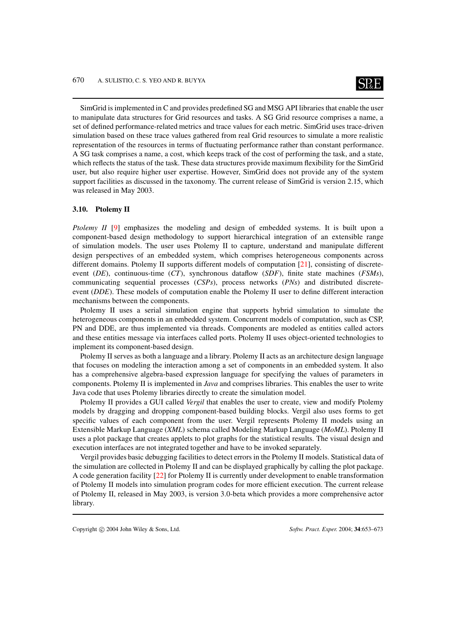

SimGrid is implemented in C and provides predefined SG and MSG API libraries that enable the user to manipulate data structures for Grid resources and tasks. A SG Grid resource comprises a name, a set of defined performance-related metrics and trace values for each metric. SimGrid uses trace-driven simulation based on these trace values gathered from real Grid resources to simulate a more realistic representation of the resources in terms of fluctuating performance rather than constant performance. A SG task comprises a name, a cost, which keeps track of the cost of performing the task, and a state, which reflects the status of the task. These data structures provide maximum flexibility for the SimGrid user, but also require higher user expertise. However, SimGrid does not provide any of the system support facilities as discussed in the taxonomy. The current release of SimGrid is version 2.15, which was released in May 2003.

#### **3.10. Ptolemy II**

*Ptolemy II* [[9\]](#page-19-6) emphasizes the modeling and design of embedded systems. It is built upon a component-based design methodology to support hierarchical integration of an extensible range of simulation models. The user uses Ptolemy II to capture, understand and manipulate different design perspectives of an embedded system, which comprises heterogeneous components across different domains. Ptolemy II supports different models of computation [[21\]](#page-20-3), consisting of discreteevent (*DE*), continuous-time (*CT*), synchronous dataflow (*SDF*), finite state machines (*FSMs*), communicating sequential processes (*CSPs*), process networks (*PNs*) and distributed discreteevent (*DDE*). These models of computation enable the Ptolemy II user to define different interaction mechanisms between the components.

Ptolemy II uses a serial simulation engine that supports hybrid simulation to simulate the heterogeneous components in an embedded system. Concurrent models of computation, such as CSP, PN and DDE, are thus implemented via threads. Components are modeled as entities called actors and these entities message via interfaces called ports. Ptolemy II uses object-oriented technologies to implement its component-based design.

Ptolemy II serves as both a language and a library. Ptolemy II acts as an architecture design language that focuses on modeling the interaction among a set of components in an embedded system. It also has a comprehensive algebra-based expression language for specifying the values of parameters in components. Ptolemy II is implemented in *Java* and comprises libraries. This enables the user to write Java code that uses Ptolemy libraries directly to create the simulation model.

Ptolemy II provides a GUI called *Vergil* that enables the user to create, view and modify Ptolemy models by dragging and dropping component-based building blocks. Vergil also uses forms to get specific values of each component from the user. Vergil represents Ptolemy II models using an Extensible Markup Language (*XML*) schema called Modeling Markup Language (*MoML*). Ptolemy II uses a plot package that creates applets to plot graphs for the statistical results. The visual design and execution interfaces are not integrated together and have to be invoked separately.

Vergil provides basic debugging facilities to detect errors in the Ptolemy II models. Statistical data of the simulation are collected in Ptolemy II and can be displayed graphically by calling the plot package. A code generation facility [[22\]](#page-20-4) for Ptolemy II is currently under development to enable transformation of Ptolemy II models into simulation program codes for more efficient execution. The current release of Ptolemy II, released in May 2003, is version 3.0-beta which provides a more comprehensive actor library.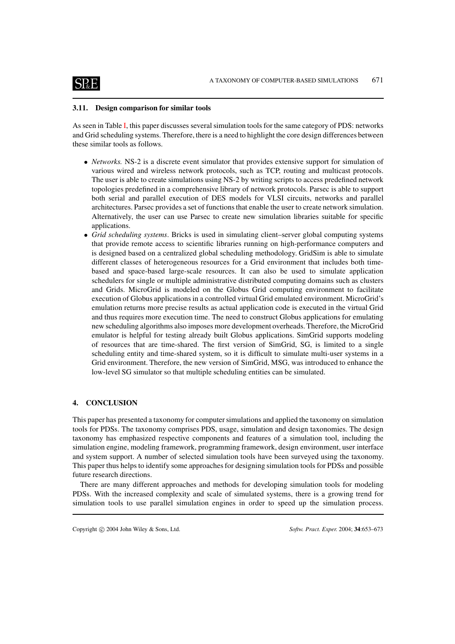

#### **3.11. Design comparison for similar tools**

As seen in Table [I](#page-9-0), this paper discusses several simulation tools for the same category of PDS: networks and Grid scheduling systems. Therefore, there is a need to highlight the core design differences between these similar tools as follows.

- *Networks*. NS-2 is a discrete event simulator that provides extensive support for simulation of various wired and wireless network protocols, such as TCP, routing and multicast protocols. The user is able to create simulations using NS-2 by writing scripts to access predefined network topologies predefined in a comprehensive library of network protocols. Parsec is able to support both serial and parallel execution of DES models for VLSI circuits, networks and parallel architectures. Parsec provides a set of functions that enable the user to create network simulation. Alternatively, the user can use Parsec to create new simulation libraries suitable for specific applications.
- *Grid scheduling systems*. Bricks is used in simulating client–server global computing systems that provide remote access to scientific libraries running on high-performance computers and is designed based on a centralized global scheduling methodology. GridSim is able to simulate different classes of heterogeneous resources for a Grid environment that includes both timebased and space-based large-scale resources. It can also be used to simulate application schedulers for single or multiple administrative distributed computing domains such as clusters and Grids. MicroGrid is modeled on the Globus Grid computing environment to facilitate execution of Globus applications in a controlled virtual Grid emulated environment. MicroGrid's emulation returns more precise results as actual application code is executed in the virtual Grid and thus requires more execution time. The need to construct Globus applications for emulating new scheduling algorithms also imposes more development overheads. Therefore, the MicroGrid emulator is helpful for testing already built Globus applications. SimGrid supports modeling of resources that are time-shared. The first version of SimGrid, SG, is limited to a single scheduling entity and time-shared system, so it is difficult to simulate multi-user systems in a Grid environment. Therefore, the new version of SimGrid, MSG, was introduced to enhance the low-level SG simulator so that multiple scheduling entities can be simulated.

# **4. CONCLUSION**

This paper has presented a taxonomy for computer simulations and applied the taxonomy on simulation tools for PDSs. The taxonomy comprises PDS, usage, simulation and design taxonomies. The design taxonomy has emphasized respective components and features of a simulation tool, including the simulation engine, modeling framework, programming framework, design environment, user interface and system support. A number of selected simulation tools have been surveyed using the taxonomy. This paper thus helps to identify some approaches for designing simulation tools for PDSs and possible future research directions.

There are many different approaches and methods for developing simulation tools for modeling PDSs. With the increased complexity and scale of simulated systems, there is a growing trend for simulation tools to use parallel simulation engines in order to speed up the simulation process.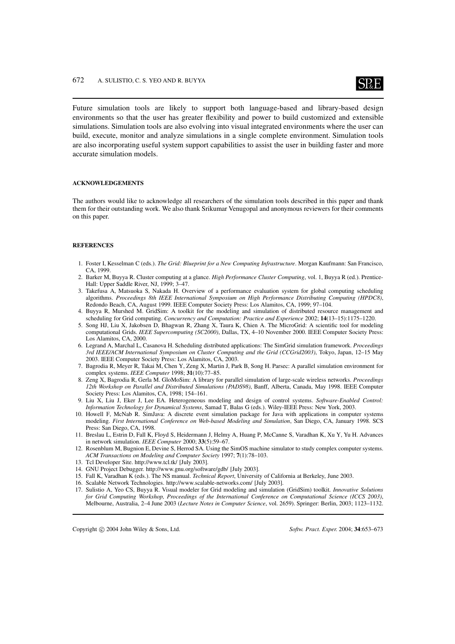

Future simulation tools are likely to support both language-based and library-based design environments so that the user has greater flexibility and power to build customized and extensible simulations. Simulation tools are also evolving into visual integrated environments where the user can build, execute, monitor and analyze simulations in a single complete environment. Simulation tools are also incorporating useful system support capabilities to assist the user in building faster and more accurate simulation models.

#### **ACKNOWLEDGEMENTS**

The authors would like to acknowledge all researchers of the simulation tools described in this paper and thank them for their outstanding work. We also thank Srikumar Venugopal and anonymous reviewers for their comments on this paper.

#### **REFERENCES**

- <span id="page-19-0"></span>1. Foster I, Kesselman C (eds.). *The Grid: Blueprint for a New Computing Infrastructure*. Morgan Kaufmann: San Francisco, CA, 1999.
- <span id="page-19-1"></span>2. Barker M, Buyya R. Cluster computing at a glance. *High Performance Cluster Computing*, vol. 1, Buyya R (ed.). Prentice-Hall: Upper Saddle River, NJ, 1999; 3–47.
- <span id="page-19-2"></span>3. Takefusa A, Matsuoka S, Nakada H. Overview of a performance evaluation system for global computing scheduling algorithms. *Proceedings 8th IEEE International Symposium on High Performance Distributing Computing (HPDC8)*, Redondo Beach, CA, August 1999. IEEE Computer Society Press: Los Alamitos, CA, 1999; 97–104.
- <span id="page-19-4"></span>4. Buyya R, Murshed M. GridSim: A toolkit for the modeling and simulation of distributed resource management and scheduling for Grid computing. *Concurrency and Computation: Practice and Experience* 2002; **14**(13–15):1175–1220.
- <span id="page-19-3"></span>5. Song HJ, Liu X, Jakobsen D, Bhagwan R, Zhang X, Taura K, Chien A. The MicroGrid: A scientific tool for modeling computational Grids. *IEEE Supercomputing (SC2000)*, Dallas, TX, 4–10 November 2000. IEEE Computer Society Press: Los Alamitos, CA, 2000.
- <span id="page-19-5"></span>6. Legrand A, Marchal L, Casanova H. Scheduling distributed applications: The SimGrid simulation framework. *Proceedings 3rd IEEE/ACM International Symposium on Cluster Computing and the Grid (CCGrid2003)*, Tokyo, Japan, 12–15 May 2003. IEEE Computer Society Press: Los Alamitos, CA, 2003.
- <span id="page-19-7"></span>7. Bagrodia R, Meyer R, Takai M, Chen Y, Zeng X, Martin J, Park B, Song H. Parsec: A parallel simulation environment for complex systems. *IEEE Computer* 1998; **31**(10):77–85.
- <span id="page-19-8"></span>8. Zeng X, Bagrodia R, Gerla M. GloMoSim: A library for parallel simulation of large-scale wireless networks. *Proceedings 12th Workshop on Parallel and Distributed Simulations (PADS98)*, Banff, Alberta, Canada, May 1998. IEEE Computer Society Press: Los Alamitos, CA, 1998; 154–161.
- <span id="page-19-6"></span>9. Liu X, Liu J, Eker J, Lee EA. Heterogeneous modeling and design of control systems. *Software-Enabled Control: Information Technology for Dynamical Systems*, Samad T, Balas G (eds.). Wiley-IEEE Press: New York, 2003.
- <span id="page-19-9"></span>10. Howell F, McNab R. SimJava: A discrete event simulation package for Java with applications in computer systems modeling. *First International Conference on Web-based Modeling and Simulation*, San Diego, CA, January 1998. SCS Press: San Diego, CA, 1998.
- <span id="page-19-10"></span>11. Breslau L, Estrin D, Fall K, Floyd S, Heidermann J, Helmy A, Huang P, McCanne S, Varadhan K, Xu Y, Yu H. Advances in network simulation. *IEEE Computer* 2000; **33**(5):59–67.
- <span id="page-19-11"></span>12. Rosenblum M, Bugnion E, Devine S, Herrod SA. Using the SimOS machine simulator to study complex computer systems. *ACM Transactions on Modeling and Computer Society* 1997; **7**(1):78–103.
- <span id="page-19-12"></span>13. Tcl Developer Site. http://www.tcl.tk/ [July 2003].
- <span id="page-19-13"></span>14. GNU Project Debugger. http://www.gnu.org/software/gdb/ [July 2003].
- <span id="page-19-14"></span>15. Fall K, Varadhan K (eds.). The NS manual. *Technical Report*, University of California at Berkeley, June 2003.
- <span id="page-19-15"></span>16. Scalable Network Technologies. http://www.scalable-networks.com/ [July 2003].
- <span id="page-19-16"></span>17. Sulistio A, Yeo CS, Buyya R. Visual modeler for Grid modeling and simulation (GridSim) toolkit. *Innovative Solutions for Grid Computing Workshop, Proceedings of the International Conference on Computational Science (ICCS 2003)*, Melbourne, Australia, 2–4 June 2003 (*Lecture Notes in Computer Science*, vol. 2659). Springer: Berlin, 2003; 1123–1132.

Copyright  $\odot$  2004 John Wiley & Sons, Ltd.

 $Softw.$  Pract. Exper. 2004; 34:653-673